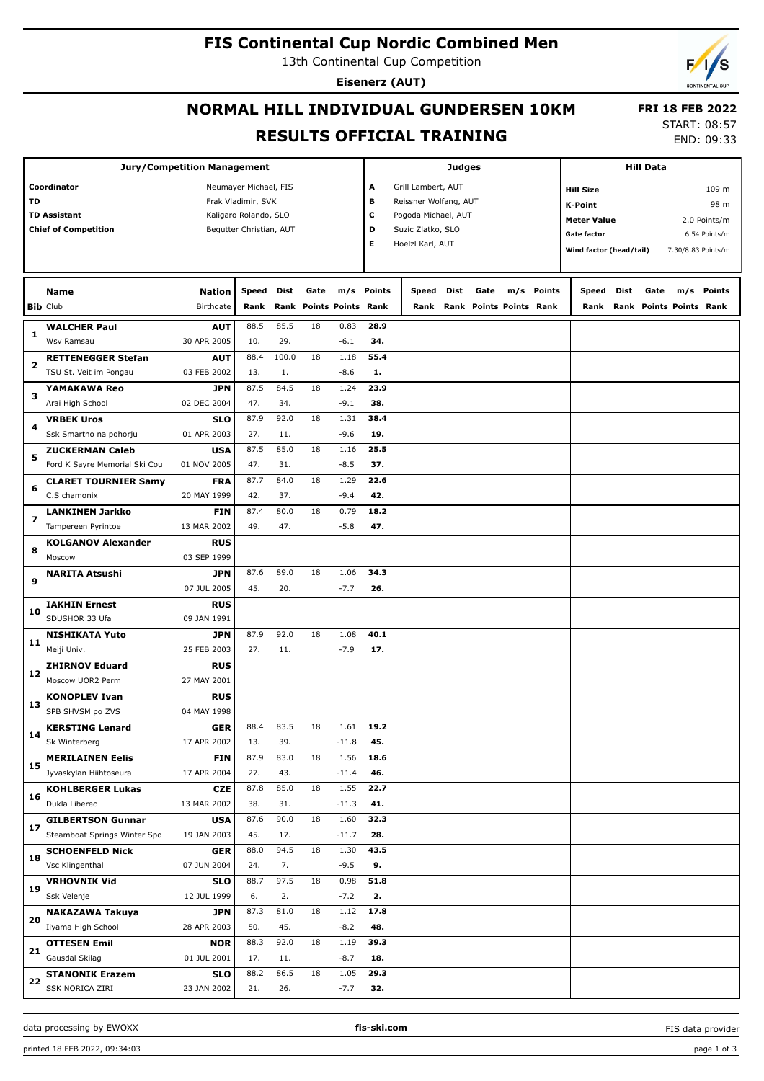## **FIS Continental Cup Nordic Combined Men**

13th Continental Cup Competition

**Eisenerz (AUT)**

## **NORMAL HILL INDIVIDUAL GUNDERSEN 10KM RESULTS OFFICIAL TRAINING**

 **FRI 18 FEB 2022** START: 08:57

END: 09:33

| <b>Jury/Competition Management</b>           |                                      |                           |                         |            |                         |                |            | Judges                                        |      |                         |                  |            |                                    | <b>Hill Data</b> |       |                         |               |  |  |
|----------------------------------------------|--------------------------------------|---------------------------|-------------------------|------------|-------------------------|----------------|------------|-----------------------------------------------|------|-------------------------|------------------|------------|------------------------------------|------------------|-------|-------------------------|---------------|--|--|
|                                              | Coordinator<br>Neumayer Michael, FIS |                           |                         |            | А<br>Grill Lambert, AUT |                |            |                                               |      |                         | <b>Hill Size</b> |            |                                    |                  | 109 m |                         |               |  |  |
| TD<br>Frak Vladimir, SVK                     |                                      |                           |                         |            |                         |                | в          | Reissner Wolfang, AUT                         |      |                         |                  |            | K-Point                            |                  |       |                         | 98 m          |  |  |
| <b>TD Assistant</b><br>Kaligaro Rolando, SLO |                                      |                           |                         |            |                         |                | с          |                                               |      |                         |                  |            |                                    |                  |       |                         |               |  |  |
|                                              | <b>Chief of Competition</b>          |                           | Begutter Christian, AUT |            |                         |                |            | Pogoda Michael, AUT<br>D<br>Suzic Zlatko, SLO |      |                         |                  |            | <b>Meter Value</b><br>2.0 Points/m |                  |       |                         |               |  |  |
|                                              |                                      |                           |                         |            |                         |                | Е          | Hoelzl Karl, AUT                              |      |                         |                  |            | <b>Gate factor</b>                 |                  |       |                         | 6.54 Points/m |  |  |
|                                              |                                      |                           |                         |            |                         |                |            |                                               |      |                         |                  |            | Wind factor (head/tail)            |                  |       | 7.30/8.83 Points/m      |               |  |  |
|                                              |                                      |                           |                         |            |                         |                |            |                                               |      |                         |                  |            |                                    |                  |       |                         |               |  |  |
|                                              | Name                                 | <b>Nation</b>             | Speed                   | Dist       | Gate                    |                | m/s Points | Speed                                         | Dist | Gate                    |                  | m/s Points | Speed                              | Dist             | Gate  | m/s                     | Points        |  |  |
|                                              | <b>Bib Club</b>                      | <b>Birthdate</b>          | Rank                    |            | Rank Points Points Rank |                |            | Rank                                          |      | Rank Points Points Rank |                  |            | Rank                               |                  |       | Rank Points Points Rank |               |  |  |
|                                              |                                      |                           |                         |            |                         |                |            |                                               |      |                         |                  |            |                                    |                  |       |                         |               |  |  |
| 1                                            | <b>WALCHER Paul</b>                  | <b>AUT</b>                | 88.5                    | 85.5       | 18                      | 0.83           | 28.9       |                                               |      |                         |                  |            |                                    |                  |       |                         |               |  |  |
|                                              | Wsv Ramsau                           | 30 APR 2005               | 10.                     | 29.        |                         | $-6.1$         | 34.        |                                               |      |                         |                  |            |                                    |                  |       |                         |               |  |  |
| 2                                            | <b>RETTENEGGER Stefan</b>            | <b>AUT</b><br>03 FEB 2002 | 88.4<br>13.             | 100.0      | 18                      | 1.18<br>$-8.6$ | 55.4<br>1. |                                               |      |                         |                  |            |                                    |                  |       |                         |               |  |  |
|                                              | TSU St. Veit im Pongau               | <b>JPN</b>                | 87.5                    | 1.<br>84.5 | 18                      | 1.24           | 23.9       |                                               |      |                         |                  |            |                                    |                  |       |                         |               |  |  |
| з                                            | YAMAKAWA Reo<br>Arai High School     | 02 DEC 2004               | 47.                     | 34.        |                         | $-9.1$         | 38.        |                                               |      |                         |                  |            |                                    |                  |       |                         |               |  |  |
|                                              | <b>VRBEK Uros</b>                    | SLO                       | 87.9                    | 92.0       | 18                      | 1.31           | 38.4       |                                               |      |                         |                  |            |                                    |                  |       |                         |               |  |  |
| 4                                            | Ssk Smartno na pohorju               | 01 APR 2003               | 27.                     | 11.        |                         | $-9.6$         | 19.        |                                               |      |                         |                  |            |                                    |                  |       |                         |               |  |  |
|                                              | <b>ZUCKERMAN Caleb</b>               | <b>USA</b>                | 87.5                    | 85.0       | 18                      | 1.16           | 25.5       |                                               |      |                         |                  |            |                                    |                  |       |                         |               |  |  |
| 5                                            | Ford K Sayre Memorial Ski Cou        | 01 NOV 2005               | 47.                     | 31.        |                         | $-8.5$         | 37.        |                                               |      |                         |                  |            |                                    |                  |       |                         |               |  |  |
|                                              |                                      |                           | 87.7                    | 84.0       | 18                      | 1.29           | 22.6       |                                               |      |                         |                  |            |                                    |                  |       |                         |               |  |  |
| 6                                            | <b>CLARET TOURNIER Samy</b>          | FRA<br>20 MAY 1999        |                         |            |                         | $-9.4$         | 42.        |                                               |      |                         |                  |            |                                    |                  |       |                         |               |  |  |
|                                              | C.S chamonix                         |                           | 42.                     | 37.        |                         |                |            |                                               |      |                         |                  |            |                                    |                  |       |                         |               |  |  |
| 7                                            | <b>LANKINEN Jarkko</b>               | <b>FIN</b>                | 87.4                    | 80.0       | 18                      | 0.79           | 18.2       |                                               |      |                         |                  |            |                                    |                  |       |                         |               |  |  |
|                                              | Tampereen Pyrintoe                   | 13 MAR 2002               | 49.                     | 47.        |                         | $-5.8$         | 47.        |                                               |      |                         |                  |            |                                    |                  |       |                         |               |  |  |
| 8                                            | <b>KOLGANOV Alexander</b>            | <b>RUS</b>                |                         |            |                         |                |            |                                               |      |                         |                  |            |                                    |                  |       |                         |               |  |  |
|                                              | Moscow                               | 03 SEP 1999               |                         |            |                         |                |            |                                               |      |                         |                  |            |                                    |                  |       |                         |               |  |  |
| 9                                            | <b>NARITA Atsushi</b>                | <b>JPN</b>                | 87.6                    | 89.0       | 18                      | 1.06           | 34.3       |                                               |      |                         |                  |            |                                    |                  |       |                         |               |  |  |
|                                              |                                      | 07 JUL 2005               | 45.                     | 20.        |                         | $-7.7$         | 26.        |                                               |      |                         |                  |            |                                    |                  |       |                         |               |  |  |
| 10                                           | <b>IAKHIN Ernest</b>                 | <b>RUS</b>                |                         |            |                         |                |            |                                               |      |                         |                  |            |                                    |                  |       |                         |               |  |  |
|                                              | SDUSHOR 33 Ufa                       | 09 JAN 1991               |                         |            |                         |                |            |                                               |      |                         |                  |            |                                    |                  |       |                         |               |  |  |
| 11                                           | <b>NISHIKATA Yuto</b>                | <b>JPN</b>                | 87.9                    | 92.0       | 18                      | 1.08           | 40.1       |                                               |      |                         |                  |            |                                    |                  |       |                         |               |  |  |
|                                              | Meiji Univ.                          | 25 FEB 2003               | 27.                     | 11.        |                         | $-7.9$         | 17.        |                                               |      |                         |                  |            |                                    |                  |       |                         |               |  |  |
| 12                                           | <b>ZHIRNOV Eduard</b>                | <b>RUS</b>                |                         |            |                         |                |            |                                               |      |                         |                  |            |                                    |                  |       |                         |               |  |  |
|                                              | Moscow UOR2 Perm                     | 27 MAY 2001               |                         |            |                         |                |            |                                               |      |                         |                  |            |                                    |                  |       |                         |               |  |  |
| 13                                           | <b>KONOPLEV Ivan</b>                 | <b>RUS</b>                |                         |            |                         |                |            |                                               |      |                         |                  |            |                                    |                  |       |                         |               |  |  |
|                                              | SPB SHVSM po ZVS                     | 04 MAY 1998               |                         |            |                         |                |            |                                               |      |                         |                  |            |                                    |                  |       |                         |               |  |  |
| 14                                           | <b>KERSTING Lenard</b>               | <b>GER</b>                | 88.4                    | 83.5       | 18                      | 1.61           | 19.2       |                                               |      |                         |                  |            |                                    |                  |       |                         |               |  |  |
|                                              | Sk Winterberg                        | 17 APR 2002               | 13.                     | 39.        |                         | $-11.8$        | 45.        |                                               |      |                         |                  |            |                                    |                  |       |                         |               |  |  |
| 15                                           | <b>MERILAINEN Eelis</b>              | <b>FIN</b>                | 87.9                    | 83.0       | 18                      | 1.56           | 18.6       |                                               |      |                         |                  |            |                                    |                  |       |                         |               |  |  |
|                                              | Jyvaskylan Hiihtoseura               | 17 APR 2004               | 27.                     | 43.        |                         | $-11.4$        | 46.        |                                               |      |                         |                  |            |                                    |                  |       |                         |               |  |  |
| 16                                           | <b>KOHLBERGER Lukas</b>              | <b>CZE</b>                | 87.8                    | 85.0       | 18                      | 1.55           | 22.7       |                                               |      |                         |                  |            |                                    |                  |       |                         |               |  |  |
|                                              | Dukla Liberec                        | 13 MAR 2002               | 38.                     | 31.        |                         | $-11.3$        | 41.        |                                               |      |                         |                  |            |                                    |                  |       |                         |               |  |  |
| 17                                           | <b>GILBERTSON Gunnar</b>             | <b>USA</b>                | 87.6                    | 90.0       | 18                      | 1.60           | 32.3       |                                               |      |                         |                  |            |                                    |                  |       |                         |               |  |  |
|                                              | Steamboat Springs Winter Spo         | 19 JAN 2003               | 45.                     | 17.        |                         | $-11.7$        | 28.        |                                               |      |                         |                  |            |                                    |                  |       |                         |               |  |  |
|                                              | <b>SCHOENFELD Nick</b>               | <b>GER</b>                | 88.0                    | 94.5       | 18                      | 1.30           | 43.5       |                                               |      |                         |                  |            |                                    |                  |       |                         |               |  |  |
| 18                                           | Vsc Klingenthal                      | 07 JUN 2004               | 24.                     | 7.         |                         | $-9.5$         | 9.         |                                               |      |                         |                  |            |                                    |                  |       |                         |               |  |  |
|                                              | <b>VRHOVNIK Vid</b>                  | <b>SLO</b>                | 88.7                    | 97.5       | 18                      | 0.98           | 51.8       |                                               |      |                         |                  |            |                                    |                  |       |                         |               |  |  |
| 19                                           | Ssk Velenje                          | 12 JUL 1999               | 6.                      | 2.         |                         | $-7.2$         | 2.         |                                               |      |                         |                  |            |                                    |                  |       |                         |               |  |  |
|                                              | NAKAZAWA Takuya                      | JPN                       | 87.3                    | 81.0       | 18                      | 1.12           | 17.8       |                                               |      |                         |                  |            |                                    |                  |       |                         |               |  |  |
| 20                                           | Iiyama High School                   | 28 APR 2003               | 50.                     | 45.        |                         | $-8.2$         | 48.        |                                               |      |                         |                  |            |                                    |                  |       |                         |               |  |  |
|                                              | <b>OTTESEN Emil</b>                  | <b>NOR</b>                | 88.3                    | 92.0       | 18                      | 1.19           | 39.3       |                                               |      |                         |                  |            |                                    |                  |       |                         |               |  |  |
| 21                                           | Gausdal Skilag                       | 01 JUL 2001               | 17.                     | 11.        |                         | $-8.7$         | 18.        |                                               |      |                         |                  |            |                                    |                  |       |                         |               |  |  |
|                                              | <b>STANONIK Erazem</b>               | <b>SLO</b>                | 88.2                    | 86.5       | 18                      | 1.05           | 29.3       |                                               |      |                         |                  |            |                                    |                  |       |                         |               |  |  |
| 22                                           | SSK NORICA ZIRI                      | 23 JAN 2002               | 21.                     | 26.        |                         | $-7.7$         | 32.        |                                               |      |                         |                  |            |                                    |                  |       |                         |               |  |  |

#### data processing by EWOXX **fis-ski.com**

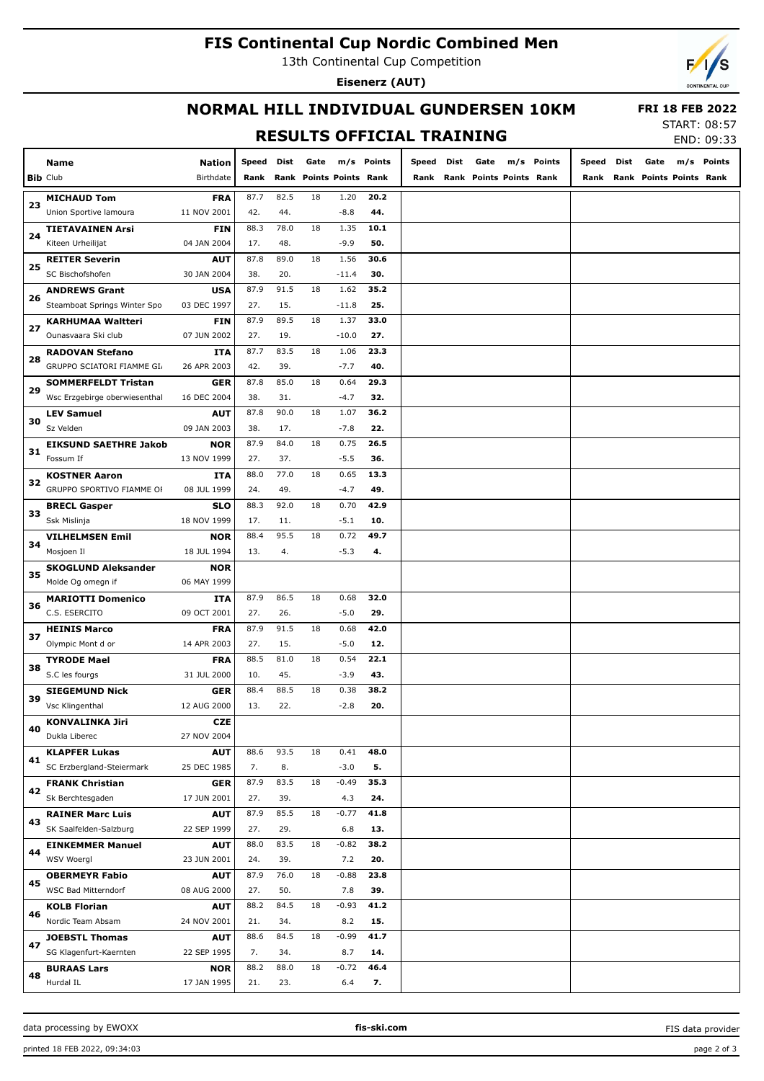## **FIS Continental Cup Nordic Combined Men**

13th Continental Cup Competition

**Eisenerz (AUT)**



## **NORMAL HILL INDIVIDUAL GUNDERSEN 10KM**

 **FRI 18 FEB 2022** START: 08:57

## **RESULTS OFFICIAL TRAINING**

| END: 09:33 |
|------------|

| Birthdate<br>Rank Points Points Rank<br><b>Bib Club</b><br>Rank<br>Rank<br>Rank Points Points Rank<br>Rank<br>Rank Points Points Rank<br><b>MICHAUD Tom</b><br>87.7<br>82.5<br>18<br>1.20<br>20.2<br><b>FRA</b><br>23<br>42.<br>44.<br>Union Sportive lamoura<br>11 NOV 2001<br>44.<br>$-8.8$<br>88.3<br>78.0<br>18<br>10.1<br><b>TIETAVAINEN Arsi</b><br><b>FIN</b><br>1.35<br>24<br>17.<br>48.<br>$-9.9$<br>50.<br>Kiteen Urheilijat<br>04 JAN 2004<br>87.8<br>89.0<br>18<br>1.56<br>30.6<br><b>REITER Severin</b><br><b>AUT</b><br>25<br>38.<br>20.<br>30.<br>SC Bischofshofen<br>30 JAN 2004<br>$-11.4$<br>87.9<br>91.5<br>18<br>1.62<br>35.2<br><b>ANDREWS Grant</b><br><b>USA</b><br>26<br>27.<br>15.<br>25.<br>Steamboat Springs Winter Spo<br>03 DEC 1997<br>$-11.8$<br>87.9<br>89.5<br>18<br>1.37<br>33.0<br><b>KARHUMAA Waltteri</b><br><b>FIN</b><br>27<br>27.<br>27.<br>Ounasvaara Ski club<br>07 JUN 2002<br>19.<br>$-10.0$<br>87.7<br>83.5<br>18<br>1.06<br>23.3<br><b>RADOVAN Stefano</b><br><b>ITA</b><br>28<br>42.<br>39.<br>$-7.7$<br>40.<br>GRUPPO SCIATORI FIAMME GI<br>26 APR 2003<br>87.8<br>85.0<br>18<br>29.3<br><b>GER</b><br>0.64<br><b>SOMMERFELDT Tristan</b><br>29<br>38.<br>$-4.7$<br>32.<br>Wsc Erzgebirge oberwiesenthal<br>16 DEC 2004<br>31.<br>90.0<br>18<br>36.2<br><b>LEV Samuel</b><br><b>AUT</b><br>87.8<br>1.07<br>30<br>38.<br>22.<br>Sz Velden<br>09 JAN 2003<br>17.<br>$-7.8$<br>87.9<br>84.0<br>18<br>0.75<br>26.5<br><b>EIKSUND SAETHRE Jakob</b><br><b>NOR</b><br>31<br>27.<br>37.<br>$-5.5$<br>36.<br>Fossum If<br>13 NOV 1999<br>77.0<br>18<br>0.65<br>13.3<br><b>KOSTNER Aaron</b><br><b>ITA</b><br>88.0<br>32<br>49.<br>$-4.7$<br>49.<br>GRUPPO SPORTIVO FIAMME OF<br>08 JUL 1999<br>24.<br>92.0<br>18<br>42.9<br><b>SLO</b><br>88.3<br>0.70<br><b>BRECL Gasper</b><br>33<br>17.<br>$-5.1$<br>Ssk Mislinja<br>18 NOV 1999<br>11.<br>10.<br>95.5<br>18<br>0.72<br>49.7<br><b>VILHELMSEN Emil</b><br><b>NOR</b><br>88.4<br>34<br>Mosjoen Il<br>18 JUL 1994<br>13.<br>4.<br>$-5.3$<br>4.<br><b>SKOGLUND Aleksander</b><br><b>NOR</b><br>35<br>Molde Og omegn if<br>06 MAY 1999<br>87.9<br>86.5<br>18<br>32.0<br><b>MARIOTTI Domenico</b><br><b>ITA</b><br>0.68<br>36<br>27.<br>29.<br>C.S. ESERCITO<br>09 OCT 2001<br>26.<br>$-5.0$<br>87.9<br>91.5<br>18<br>42.0<br><b>FRA</b><br>0.68<br><b>HEINIS Marco</b><br>37<br>27.<br>$-5.0$<br>Olympic Mont d or<br>14 APR 2003<br>15.<br>12.<br>81.0<br>18<br>0.54<br>22.1<br><b>TYRODE Mael</b><br><b>FRA</b><br>88.5<br>38<br>43.<br>S.C les fourgs<br>31 JUL 2000<br>10.<br>45.<br>$-3.9$<br>88.5<br>38.2<br><b>SIEGEMUND Nick</b><br>88.4<br>18<br>0.38<br><b>GER</b><br>39<br>Vsc Klingenthal<br>12 AUG 2000<br>13.<br>22.<br>$-2.8$<br>20.<br><b>KONVALINKA Jiri</b><br><b>CZE</b><br>40<br>Dukla Liberec<br>27 NOV 2004<br>93.5<br>18<br>0.41<br>48.0<br><b>KLAPFER Lukas</b><br><b>AUT</b><br>88.6<br>41<br>SC Erzbergland-Steiermark<br>7.<br>8.<br>5.<br>25 DEC 1985<br>$-3.0$<br>83.5<br>35.3<br><b>FRANK Christian</b><br>87.9<br>18<br>$-0.49$<br><b>GER</b><br>42<br>Sk Berchtesgaden<br>17 JUN 2001<br>27.<br>39.<br>4.3<br>24.<br>85.5<br>87.9<br>41.8<br>18<br>$-0.77$<br><b>AUT</b><br><b>RAINER Marc Luis</b><br>43<br>SK Saalfelden-Salzburg<br>22 SEP 1999<br>27.<br>29.<br>6.8<br>13.<br>83.5<br>38.2<br>88.0<br>18<br>$-0.82$<br><b>EINKEMMER Manuel</b><br><b>AUT</b><br>44<br>WSV Woergl<br>23 JUN 2001<br>24.<br>39.<br>7.2<br>20.<br>76.0<br>23.8<br>87.9<br>18<br>$-0.88$<br><b>AUT</b><br><b>OBERMEYR Fabio</b><br>45<br>WSC Bad Mitterndorf<br>39.<br>08 AUG 2000<br>27.<br>50.<br>7.8<br>88.2<br>84.5<br>41.2<br>18<br>$-0.93$<br><b>KOLB Florian</b><br><b>AUT</b><br>46<br>Nordic Team Absam<br>15.<br>24 NOV 2001<br>21.<br>34.<br>8.2<br>84.5<br>$-0.99$<br>41.7<br>88.6<br>18<br><b>JOEBSTL Thomas</b><br><b>AUT</b><br>47<br>SG Klagenfurt-Kaernten<br>22 SEP 1995<br>7.<br>34.<br>8.7<br>14.<br>88.0<br>46.4<br>88.2<br>18<br>$-0.72$<br><b>BURAAS Lars</b><br><b>NOR</b><br>48<br>Hurdal IL<br>17 JAN 1995<br>6.4<br>7.<br>21.<br>23. | Name | Nation | Speed | Dist | Gate | m/s Points | Speed | Dist | Gate | m/s | Points | Speed | Dist | Gate | m/s Points |
|------------------------------------------------------------------------------------------------------------------------------------------------------------------------------------------------------------------------------------------------------------------------------------------------------------------------------------------------------------------------------------------------------------------------------------------------------------------------------------------------------------------------------------------------------------------------------------------------------------------------------------------------------------------------------------------------------------------------------------------------------------------------------------------------------------------------------------------------------------------------------------------------------------------------------------------------------------------------------------------------------------------------------------------------------------------------------------------------------------------------------------------------------------------------------------------------------------------------------------------------------------------------------------------------------------------------------------------------------------------------------------------------------------------------------------------------------------------------------------------------------------------------------------------------------------------------------------------------------------------------------------------------------------------------------------------------------------------------------------------------------------------------------------------------------------------------------------------------------------------------------------------------------------------------------------------------------------------------------------------------------------------------------------------------------------------------------------------------------------------------------------------------------------------------------------------------------------------------------------------------------------------------------------------------------------------------------------------------------------------------------------------------------------------------------------------------------------------------------------------------------------------------------------------------------------------------------------------------------------------------------------------------------------------------------------------------------------------------------------------------------------------------------------------------------------------------------------------------------------------------------------------------------------------------------------------------------------------------------------------------------------------------------------------------------------------------------------------------------------------------------------------------------------------------------------------------------------------------------------------------------------------------------------------------------------------------------------------------------------------------------------------------------------------------------------------------------------------------------------------------------------------------------------------------------------------------------------------------------------------------------------------------------------------------------------------------------------------------------------------------------------------------------------------------------------------------------------------------------------------------------------------------------------------------------------------------------------------------------------------------------------------------------------------------------------------------|------|--------|-------|------|------|------------|-------|------|------|-----|--------|-------|------|------|------------|
|                                                                                                                                                                                                                                                                                                                                                                                                                                                                                                                                                                                                                                                                                                                                                                                                                                                                                                                                                                                                                                                                                                                                                                                                                                                                                                                                                                                                                                                                                                                                                                                                                                                                                                                                                                                                                                                                                                                                                                                                                                                                                                                                                                                                                                                                                                                                                                                                                                                                                                                                                                                                                                                                                                                                                                                                                                                                                                                                                                                                                                                                                                                                                                                                                                                                                                                                                                                                                                                                                                                                                                                                                                                                                                                                                                                                                                                                                                                                                                                                                                                                        |      |        |       |      |      |            |       |      |      |     |        |       |      |      |            |
|                                                                                                                                                                                                                                                                                                                                                                                                                                                                                                                                                                                                                                                                                                                                                                                                                                                                                                                                                                                                                                                                                                                                                                                                                                                                                                                                                                                                                                                                                                                                                                                                                                                                                                                                                                                                                                                                                                                                                                                                                                                                                                                                                                                                                                                                                                                                                                                                                                                                                                                                                                                                                                                                                                                                                                                                                                                                                                                                                                                                                                                                                                                                                                                                                                                                                                                                                                                                                                                                                                                                                                                                                                                                                                                                                                                                                                                                                                                                                                                                                                                                        |      |        |       |      |      |            |       |      |      |     |        |       |      |      |            |
|                                                                                                                                                                                                                                                                                                                                                                                                                                                                                                                                                                                                                                                                                                                                                                                                                                                                                                                                                                                                                                                                                                                                                                                                                                                                                                                                                                                                                                                                                                                                                                                                                                                                                                                                                                                                                                                                                                                                                                                                                                                                                                                                                                                                                                                                                                                                                                                                                                                                                                                                                                                                                                                                                                                                                                                                                                                                                                                                                                                                                                                                                                                                                                                                                                                                                                                                                                                                                                                                                                                                                                                                                                                                                                                                                                                                                                                                                                                                                                                                                                                                        |      |        |       |      |      |            |       |      |      |     |        |       |      |      |            |
|                                                                                                                                                                                                                                                                                                                                                                                                                                                                                                                                                                                                                                                                                                                                                                                                                                                                                                                                                                                                                                                                                                                                                                                                                                                                                                                                                                                                                                                                                                                                                                                                                                                                                                                                                                                                                                                                                                                                                                                                                                                                                                                                                                                                                                                                                                                                                                                                                                                                                                                                                                                                                                                                                                                                                                                                                                                                                                                                                                                                                                                                                                                                                                                                                                                                                                                                                                                                                                                                                                                                                                                                                                                                                                                                                                                                                                                                                                                                                                                                                                                                        |      |        |       |      |      |            |       |      |      |     |        |       |      |      |            |
|                                                                                                                                                                                                                                                                                                                                                                                                                                                                                                                                                                                                                                                                                                                                                                                                                                                                                                                                                                                                                                                                                                                                                                                                                                                                                                                                                                                                                                                                                                                                                                                                                                                                                                                                                                                                                                                                                                                                                                                                                                                                                                                                                                                                                                                                                                                                                                                                                                                                                                                                                                                                                                                                                                                                                                                                                                                                                                                                                                                                                                                                                                                                                                                                                                                                                                                                                                                                                                                                                                                                                                                                                                                                                                                                                                                                                                                                                                                                                                                                                                                                        |      |        |       |      |      |            |       |      |      |     |        |       |      |      |            |
|                                                                                                                                                                                                                                                                                                                                                                                                                                                                                                                                                                                                                                                                                                                                                                                                                                                                                                                                                                                                                                                                                                                                                                                                                                                                                                                                                                                                                                                                                                                                                                                                                                                                                                                                                                                                                                                                                                                                                                                                                                                                                                                                                                                                                                                                                                                                                                                                                                                                                                                                                                                                                                                                                                                                                                                                                                                                                                                                                                                                                                                                                                                                                                                                                                                                                                                                                                                                                                                                                                                                                                                                                                                                                                                                                                                                                                                                                                                                                                                                                                                                        |      |        |       |      |      |            |       |      |      |     |        |       |      |      |            |
|                                                                                                                                                                                                                                                                                                                                                                                                                                                                                                                                                                                                                                                                                                                                                                                                                                                                                                                                                                                                                                                                                                                                                                                                                                                                                                                                                                                                                                                                                                                                                                                                                                                                                                                                                                                                                                                                                                                                                                                                                                                                                                                                                                                                                                                                                                                                                                                                                                                                                                                                                                                                                                                                                                                                                                                                                                                                                                                                                                                                                                                                                                                                                                                                                                                                                                                                                                                                                                                                                                                                                                                                                                                                                                                                                                                                                                                                                                                                                                                                                                                                        |      |        |       |      |      |            |       |      |      |     |        |       |      |      |            |
|                                                                                                                                                                                                                                                                                                                                                                                                                                                                                                                                                                                                                                                                                                                                                                                                                                                                                                                                                                                                                                                                                                                                                                                                                                                                                                                                                                                                                                                                                                                                                                                                                                                                                                                                                                                                                                                                                                                                                                                                                                                                                                                                                                                                                                                                                                                                                                                                                                                                                                                                                                                                                                                                                                                                                                                                                                                                                                                                                                                                                                                                                                                                                                                                                                                                                                                                                                                                                                                                                                                                                                                                                                                                                                                                                                                                                                                                                                                                                                                                                                                                        |      |        |       |      |      |            |       |      |      |     |        |       |      |      |            |
|                                                                                                                                                                                                                                                                                                                                                                                                                                                                                                                                                                                                                                                                                                                                                                                                                                                                                                                                                                                                                                                                                                                                                                                                                                                                                                                                                                                                                                                                                                                                                                                                                                                                                                                                                                                                                                                                                                                                                                                                                                                                                                                                                                                                                                                                                                                                                                                                                                                                                                                                                                                                                                                                                                                                                                                                                                                                                                                                                                                                                                                                                                                                                                                                                                                                                                                                                                                                                                                                                                                                                                                                                                                                                                                                                                                                                                                                                                                                                                                                                                                                        |      |        |       |      |      |            |       |      |      |     |        |       |      |      |            |
|                                                                                                                                                                                                                                                                                                                                                                                                                                                                                                                                                                                                                                                                                                                                                                                                                                                                                                                                                                                                                                                                                                                                                                                                                                                                                                                                                                                                                                                                                                                                                                                                                                                                                                                                                                                                                                                                                                                                                                                                                                                                                                                                                                                                                                                                                                                                                                                                                                                                                                                                                                                                                                                                                                                                                                                                                                                                                                                                                                                                                                                                                                                                                                                                                                                                                                                                                                                                                                                                                                                                                                                                                                                                                                                                                                                                                                                                                                                                                                                                                                                                        |      |        |       |      |      |            |       |      |      |     |        |       |      |      |            |
|                                                                                                                                                                                                                                                                                                                                                                                                                                                                                                                                                                                                                                                                                                                                                                                                                                                                                                                                                                                                                                                                                                                                                                                                                                                                                                                                                                                                                                                                                                                                                                                                                                                                                                                                                                                                                                                                                                                                                                                                                                                                                                                                                                                                                                                                                                                                                                                                                                                                                                                                                                                                                                                                                                                                                                                                                                                                                                                                                                                                                                                                                                                                                                                                                                                                                                                                                                                                                                                                                                                                                                                                                                                                                                                                                                                                                                                                                                                                                                                                                                                                        |      |        |       |      |      |            |       |      |      |     |        |       |      |      |            |
|                                                                                                                                                                                                                                                                                                                                                                                                                                                                                                                                                                                                                                                                                                                                                                                                                                                                                                                                                                                                                                                                                                                                                                                                                                                                                                                                                                                                                                                                                                                                                                                                                                                                                                                                                                                                                                                                                                                                                                                                                                                                                                                                                                                                                                                                                                                                                                                                                                                                                                                                                                                                                                                                                                                                                                                                                                                                                                                                                                                                                                                                                                                                                                                                                                                                                                                                                                                                                                                                                                                                                                                                                                                                                                                                                                                                                                                                                                                                                                                                                                                                        |      |        |       |      |      |            |       |      |      |     |        |       |      |      |            |
|                                                                                                                                                                                                                                                                                                                                                                                                                                                                                                                                                                                                                                                                                                                                                                                                                                                                                                                                                                                                                                                                                                                                                                                                                                                                                                                                                                                                                                                                                                                                                                                                                                                                                                                                                                                                                                                                                                                                                                                                                                                                                                                                                                                                                                                                                                                                                                                                                                                                                                                                                                                                                                                                                                                                                                                                                                                                                                                                                                                                                                                                                                                                                                                                                                                                                                                                                                                                                                                                                                                                                                                                                                                                                                                                                                                                                                                                                                                                                                                                                                                                        |      |        |       |      |      |            |       |      |      |     |        |       |      |      |            |
|                                                                                                                                                                                                                                                                                                                                                                                                                                                                                                                                                                                                                                                                                                                                                                                                                                                                                                                                                                                                                                                                                                                                                                                                                                                                                                                                                                                                                                                                                                                                                                                                                                                                                                                                                                                                                                                                                                                                                                                                                                                                                                                                                                                                                                                                                                                                                                                                                                                                                                                                                                                                                                                                                                                                                                                                                                                                                                                                                                                                                                                                                                                                                                                                                                                                                                                                                                                                                                                                                                                                                                                                                                                                                                                                                                                                                                                                                                                                                                                                                                                                        |      |        |       |      |      |            |       |      |      |     |        |       |      |      |            |
|                                                                                                                                                                                                                                                                                                                                                                                                                                                                                                                                                                                                                                                                                                                                                                                                                                                                                                                                                                                                                                                                                                                                                                                                                                                                                                                                                                                                                                                                                                                                                                                                                                                                                                                                                                                                                                                                                                                                                                                                                                                                                                                                                                                                                                                                                                                                                                                                                                                                                                                                                                                                                                                                                                                                                                                                                                                                                                                                                                                                                                                                                                                                                                                                                                                                                                                                                                                                                                                                                                                                                                                                                                                                                                                                                                                                                                                                                                                                                                                                                                                                        |      |        |       |      |      |            |       |      |      |     |        |       |      |      |            |
|                                                                                                                                                                                                                                                                                                                                                                                                                                                                                                                                                                                                                                                                                                                                                                                                                                                                                                                                                                                                                                                                                                                                                                                                                                                                                                                                                                                                                                                                                                                                                                                                                                                                                                                                                                                                                                                                                                                                                                                                                                                                                                                                                                                                                                                                                                                                                                                                                                                                                                                                                                                                                                                                                                                                                                                                                                                                                                                                                                                                                                                                                                                                                                                                                                                                                                                                                                                                                                                                                                                                                                                                                                                                                                                                                                                                                                                                                                                                                                                                                                                                        |      |        |       |      |      |            |       |      |      |     |        |       |      |      |            |
|                                                                                                                                                                                                                                                                                                                                                                                                                                                                                                                                                                                                                                                                                                                                                                                                                                                                                                                                                                                                                                                                                                                                                                                                                                                                                                                                                                                                                                                                                                                                                                                                                                                                                                                                                                                                                                                                                                                                                                                                                                                                                                                                                                                                                                                                                                                                                                                                                                                                                                                                                                                                                                                                                                                                                                                                                                                                                                                                                                                                                                                                                                                                                                                                                                                                                                                                                                                                                                                                                                                                                                                                                                                                                                                                                                                                                                                                                                                                                                                                                                                                        |      |        |       |      |      |            |       |      |      |     |        |       |      |      |            |
|                                                                                                                                                                                                                                                                                                                                                                                                                                                                                                                                                                                                                                                                                                                                                                                                                                                                                                                                                                                                                                                                                                                                                                                                                                                                                                                                                                                                                                                                                                                                                                                                                                                                                                                                                                                                                                                                                                                                                                                                                                                                                                                                                                                                                                                                                                                                                                                                                                                                                                                                                                                                                                                                                                                                                                                                                                                                                                                                                                                                                                                                                                                                                                                                                                                                                                                                                                                                                                                                                                                                                                                                                                                                                                                                                                                                                                                                                                                                                                                                                                                                        |      |        |       |      |      |            |       |      |      |     |        |       |      |      |            |
|                                                                                                                                                                                                                                                                                                                                                                                                                                                                                                                                                                                                                                                                                                                                                                                                                                                                                                                                                                                                                                                                                                                                                                                                                                                                                                                                                                                                                                                                                                                                                                                                                                                                                                                                                                                                                                                                                                                                                                                                                                                                                                                                                                                                                                                                                                                                                                                                                                                                                                                                                                                                                                                                                                                                                                                                                                                                                                                                                                                                                                                                                                                                                                                                                                                                                                                                                                                                                                                                                                                                                                                                                                                                                                                                                                                                                                                                                                                                                                                                                                                                        |      |        |       |      |      |            |       |      |      |     |        |       |      |      |            |
|                                                                                                                                                                                                                                                                                                                                                                                                                                                                                                                                                                                                                                                                                                                                                                                                                                                                                                                                                                                                                                                                                                                                                                                                                                                                                                                                                                                                                                                                                                                                                                                                                                                                                                                                                                                                                                                                                                                                                                                                                                                                                                                                                                                                                                                                                                                                                                                                                                                                                                                                                                                                                                                                                                                                                                                                                                                                                                                                                                                                                                                                                                                                                                                                                                                                                                                                                                                                                                                                                                                                                                                                                                                                                                                                                                                                                                                                                                                                                                                                                                                                        |      |        |       |      |      |            |       |      |      |     |        |       |      |      |            |
|                                                                                                                                                                                                                                                                                                                                                                                                                                                                                                                                                                                                                                                                                                                                                                                                                                                                                                                                                                                                                                                                                                                                                                                                                                                                                                                                                                                                                                                                                                                                                                                                                                                                                                                                                                                                                                                                                                                                                                                                                                                                                                                                                                                                                                                                                                                                                                                                                                                                                                                                                                                                                                                                                                                                                                                                                                                                                                                                                                                                                                                                                                                                                                                                                                                                                                                                                                                                                                                                                                                                                                                                                                                                                                                                                                                                                                                                                                                                                                                                                                                                        |      |        |       |      |      |            |       |      |      |     |        |       |      |      |            |
|                                                                                                                                                                                                                                                                                                                                                                                                                                                                                                                                                                                                                                                                                                                                                                                                                                                                                                                                                                                                                                                                                                                                                                                                                                                                                                                                                                                                                                                                                                                                                                                                                                                                                                                                                                                                                                                                                                                                                                                                                                                                                                                                                                                                                                                                                                                                                                                                                                                                                                                                                                                                                                                                                                                                                                                                                                                                                                                                                                                                                                                                                                                                                                                                                                                                                                                                                                                                                                                                                                                                                                                                                                                                                                                                                                                                                                                                                                                                                                                                                                                                        |      |        |       |      |      |            |       |      |      |     |        |       |      |      |            |
|                                                                                                                                                                                                                                                                                                                                                                                                                                                                                                                                                                                                                                                                                                                                                                                                                                                                                                                                                                                                                                                                                                                                                                                                                                                                                                                                                                                                                                                                                                                                                                                                                                                                                                                                                                                                                                                                                                                                                                                                                                                                                                                                                                                                                                                                                                                                                                                                                                                                                                                                                                                                                                                                                                                                                                                                                                                                                                                                                                                                                                                                                                                                                                                                                                                                                                                                                                                                                                                                                                                                                                                                                                                                                                                                                                                                                                                                                                                                                                                                                                                                        |      |        |       |      |      |            |       |      |      |     |        |       |      |      |            |
|                                                                                                                                                                                                                                                                                                                                                                                                                                                                                                                                                                                                                                                                                                                                                                                                                                                                                                                                                                                                                                                                                                                                                                                                                                                                                                                                                                                                                                                                                                                                                                                                                                                                                                                                                                                                                                                                                                                                                                                                                                                                                                                                                                                                                                                                                                                                                                                                                                                                                                                                                                                                                                                                                                                                                                                                                                                                                                                                                                                                                                                                                                                                                                                                                                                                                                                                                                                                                                                                                                                                                                                                                                                                                                                                                                                                                                                                                                                                                                                                                                                                        |      |        |       |      |      |            |       |      |      |     |        |       |      |      |            |
|                                                                                                                                                                                                                                                                                                                                                                                                                                                                                                                                                                                                                                                                                                                                                                                                                                                                                                                                                                                                                                                                                                                                                                                                                                                                                                                                                                                                                                                                                                                                                                                                                                                                                                                                                                                                                                                                                                                                                                                                                                                                                                                                                                                                                                                                                                                                                                                                                                                                                                                                                                                                                                                                                                                                                                                                                                                                                                                                                                                                                                                                                                                                                                                                                                                                                                                                                                                                                                                                                                                                                                                                                                                                                                                                                                                                                                                                                                                                                                                                                                                                        |      |        |       |      |      |            |       |      |      |     |        |       |      |      |            |
|                                                                                                                                                                                                                                                                                                                                                                                                                                                                                                                                                                                                                                                                                                                                                                                                                                                                                                                                                                                                                                                                                                                                                                                                                                                                                                                                                                                                                                                                                                                                                                                                                                                                                                                                                                                                                                                                                                                                                                                                                                                                                                                                                                                                                                                                                                                                                                                                                                                                                                                                                                                                                                                                                                                                                                                                                                                                                                                                                                                                                                                                                                                                                                                                                                                                                                                                                                                                                                                                                                                                                                                                                                                                                                                                                                                                                                                                                                                                                                                                                                                                        |      |        |       |      |      |            |       |      |      |     |        |       |      |      |            |
|                                                                                                                                                                                                                                                                                                                                                                                                                                                                                                                                                                                                                                                                                                                                                                                                                                                                                                                                                                                                                                                                                                                                                                                                                                                                                                                                                                                                                                                                                                                                                                                                                                                                                                                                                                                                                                                                                                                                                                                                                                                                                                                                                                                                                                                                                                                                                                                                                                                                                                                                                                                                                                                                                                                                                                                                                                                                                                                                                                                                                                                                                                                                                                                                                                                                                                                                                                                                                                                                                                                                                                                                                                                                                                                                                                                                                                                                                                                                                                                                                                                                        |      |        |       |      |      |            |       |      |      |     |        |       |      |      |            |
|                                                                                                                                                                                                                                                                                                                                                                                                                                                                                                                                                                                                                                                                                                                                                                                                                                                                                                                                                                                                                                                                                                                                                                                                                                                                                                                                                                                                                                                                                                                                                                                                                                                                                                                                                                                                                                                                                                                                                                                                                                                                                                                                                                                                                                                                                                                                                                                                                                                                                                                                                                                                                                                                                                                                                                                                                                                                                                                                                                                                                                                                                                                                                                                                                                                                                                                                                                                                                                                                                                                                                                                                                                                                                                                                                                                                                                                                                                                                                                                                                                                                        |      |        |       |      |      |            |       |      |      |     |        |       |      |      |            |
|                                                                                                                                                                                                                                                                                                                                                                                                                                                                                                                                                                                                                                                                                                                                                                                                                                                                                                                                                                                                                                                                                                                                                                                                                                                                                                                                                                                                                                                                                                                                                                                                                                                                                                                                                                                                                                                                                                                                                                                                                                                                                                                                                                                                                                                                                                                                                                                                                                                                                                                                                                                                                                                                                                                                                                                                                                                                                                                                                                                                                                                                                                                                                                                                                                                                                                                                                                                                                                                                                                                                                                                                                                                                                                                                                                                                                                                                                                                                                                                                                                                                        |      |        |       |      |      |            |       |      |      |     |        |       |      |      |            |
|                                                                                                                                                                                                                                                                                                                                                                                                                                                                                                                                                                                                                                                                                                                                                                                                                                                                                                                                                                                                                                                                                                                                                                                                                                                                                                                                                                                                                                                                                                                                                                                                                                                                                                                                                                                                                                                                                                                                                                                                                                                                                                                                                                                                                                                                                                                                                                                                                                                                                                                                                                                                                                                                                                                                                                                                                                                                                                                                                                                                                                                                                                                                                                                                                                                                                                                                                                                                                                                                                                                                                                                                                                                                                                                                                                                                                                                                                                                                                                                                                                                                        |      |        |       |      |      |            |       |      |      |     |        |       |      |      |            |
|                                                                                                                                                                                                                                                                                                                                                                                                                                                                                                                                                                                                                                                                                                                                                                                                                                                                                                                                                                                                                                                                                                                                                                                                                                                                                                                                                                                                                                                                                                                                                                                                                                                                                                                                                                                                                                                                                                                                                                                                                                                                                                                                                                                                                                                                                                                                                                                                                                                                                                                                                                                                                                                                                                                                                                                                                                                                                                                                                                                                                                                                                                                                                                                                                                                                                                                                                                                                                                                                                                                                                                                                                                                                                                                                                                                                                                                                                                                                                                                                                                                                        |      |        |       |      |      |            |       |      |      |     |        |       |      |      |            |
|                                                                                                                                                                                                                                                                                                                                                                                                                                                                                                                                                                                                                                                                                                                                                                                                                                                                                                                                                                                                                                                                                                                                                                                                                                                                                                                                                                                                                                                                                                                                                                                                                                                                                                                                                                                                                                                                                                                                                                                                                                                                                                                                                                                                                                                                                                                                                                                                                                                                                                                                                                                                                                                                                                                                                                                                                                                                                                                                                                                                                                                                                                                                                                                                                                                                                                                                                                                                                                                                                                                                                                                                                                                                                                                                                                                                                                                                                                                                                                                                                                                                        |      |        |       |      |      |            |       |      |      |     |        |       |      |      |            |
|                                                                                                                                                                                                                                                                                                                                                                                                                                                                                                                                                                                                                                                                                                                                                                                                                                                                                                                                                                                                                                                                                                                                                                                                                                                                                                                                                                                                                                                                                                                                                                                                                                                                                                                                                                                                                                                                                                                                                                                                                                                                                                                                                                                                                                                                                                                                                                                                                                                                                                                                                                                                                                                                                                                                                                                                                                                                                                                                                                                                                                                                                                                                                                                                                                                                                                                                                                                                                                                                                                                                                                                                                                                                                                                                                                                                                                                                                                                                                                                                                                                                        |      |        |       |      |      |            |       |      |      |     |        |       |      |      |            |
|                                                                                                                                                                                                                                                                                                                                                                                                                                                                                                                                                                                                                                                                                                                                                                                                                                                                                                                                                                                                                                                                                                                                                                                                                                                                                                                                                                                                                                                                                                                                                                                                                                                                                                                                                                                                                                                                                                                                                                                                                                                                                                                                                                                                                                                                                                                                                                                                                                                                                                                                                                                                                                                                                                                                                                                                                                                                                                                                                                                                                                                                                                                                                                                                                                                                                                                                                                                                                                                                                                                                                                                                                                                                                                                                                                                                                                                                                                                                                                                                                                                                        |      |        |       |      |      |            |       |      |      |     |        |       |      |      |            |
|                                                                                                                                                                                                                                                                                                                                                                                                                                                                                                                                                                                                                                                                                                                                                                                                                                                                                                                                                                                                                                                                                                                                                                                                                                                                                                                                                                                                                                                                                                                                                                                                                                                                                                                                                                                                                                                                                                                                                                                                                                                                                                                                                                                                                                                                                                                                                                                                                                                                                                                                                                                                                                                                                                                                                                                                                                                                                                                                                                                                                                                                                                                                                                                                                                                                                                                                                                                                                                                                                                                                                                                                                                                                                                                                                                                                                                                                                                                                                                                                                                                                        |      |        |       |      |      |            |       |      |      |     |        |       |      |      |            |
|                                                                                                                                                                                                                                                                                                                                                                                                                                                                                                                                                                                                                                                                                                                                                                                                                                                                                                                                                                                                                                                                                                                                                                                                                                                                                                                                                                                                                                                                                                                                                                                                                                                                                                                                                                                                                                                                                                                                                                                                                                                                                                                                                                                                                                                                                                                                                                                                                                                                                                                                                                                                                                                                                                                                                                                                                                                                                                                                                                                                                                                                                                                                                                                                                                                                                                                                                                                                                                                                                                                                                                                                                                                                                                                                                                                                                                                                                                                                                                                                                                                                        |      |        |       |      |      |            |       |      |      |     |        |       |      |      |            |
|                                                                                                                                                                                                                                                                                                                                                                                                                                                                                                                                                                                                                                                                                                                                                                                                                                                                                                                                                                                                                                                                                                                                                                                                                                                                                                                                                                                                                                                                                                                                                                                                                                                                                                                                                                                                                                                                                                                                                                                                                                                                                                                                                                                                                                                                                                                                                                                                                                                                                                                                                                                                                                                                                                                                                                                                                                                                                                                                                                                                                                                                                                                                                                                                                                                                                                                                                                                                                                                                                                                                                                                                                                                                                                                                                                                                                                                                                                                                                                                                                                                                        |      |        |       |      |      |            |       |      |      |     |        |       |      |      |            |
|                                                                                                                                                                                                                                                                                                                                                                                                                                                                                                                                                                                                                                                                                                                                                                                                                                                                                                                                                                                                                                                                                                                                                                                                                                                                                                                                                                                                                                                                                                                                                                                                                                                                                                                                                                                                                                                                                                                                                                                                                                                                                                                                                                                                                                                                                                                                                                                                                                                                                                                                                                                                                                                                                                                                                                                                                                                                                                                                                                                                                                                                                                                                                                                                                                                                                                                                                                                                                                                                                                                                                                                                                                                                                                                                                                                                                                                                                                                                                                                                                                                                        |      |        |       |      |      |            |       |      |      |     |        |       |      |      |            |
|                                                                                                                                                                                                                                                                                                                                                                                                                                                                                                                                                                                                                                                                                                                                                                                                                                                                                                                                                                                                                                                                                                                                                                                                                                                                                                                                                                                                                                                                                                                                                                                                                                                                                                                                                                                                                                                                                                                                                                                                                                                                                                                                                                                                                                                                                                                                                                                                                                                                                                                                                                                                                                                                                                                                                                                                                                                                                                                                                                                                                                                                                                                                                                                                                                                                                                                                                                                                                                                                                                                                                                                                                                                                                                                                                                                                                                                                                                                                                                                                                                                                        |      |        |       |      |      |            |       |      |      |     |        |       |      |      |            |
|                                                                                                                                                                                                                                                                                                                                                                                                                                                                                                                                                                                                                                                                                                                                                                                                                                                                                                                                                                                                                                                                                                                                                                                                                                                                                                                                                                                                                                                                                                                                                                                                                                                                                                                                                                                                                                                                                                                                                                                                                                                                                                                                                                                                                                                                                                                                                                                                                                                                                                                                                                                                                                                                                                                                                                                                                                                                                                                                                                                                                                                                                                                                                                                                                                                                                                                                                                                                                                                                                                                                                                                                                                                                                                                                                                                                                                                                                                                                                                                                                                                                        |      |        |       |      |      |            |       |      |      |     |        |       |      |      |            |
|                                                                                                                                                                                                                                                                                                                                                                                                                                                                                                                                                                                                                                                                                                                                                                                                                                                                                                                                                                                                                                                                                                                                                                                                                                                                                                                                                                                                                                                                                                                                                                                                                                                                                                                                                                                                                                                                                                                                                                                                                                                                                                                                                                                                                                                                                                                                                                                                                                                                                                                                                                                                                                                                                                                                                                                                                                                                                                                                                                                                                                                                                                                                                                                                                                                                                                                                                                                                                                                                                                                                                                                                                                                                                                                                                                                                                                                                                                                                                                                                                                                                        |      |        |       |      |      |            |       |      |      |     |        |       |      |      |            |
|                                                                                                                                                                                                                                                                                                                                                                                                                                                                                                                                                                                                                                                                                                                                                                                                                                                                                                                                                                                                                                                                                                                                                                                                                                                                                                                                                                                                                                                                                                                                                                                                                                                                                                                                                                                                                                                                                                                                                                                                                                                                                                                                                                                                                                                                                                                                                                                                                                                                                                                                                                                                                                                                                                                                                                                                                                                                                                                                                                                                                                                                                                                                                                                                                                                                                                                                                                                                                                                                                                                                                                                                                                                                                                                                                                                                                                                                                                                                                                                                                                                                        |      |        |       |      |      |            |       |      |      |     |        |       |      |      |            |
|                                                                                                                                                                                                                                                                                                                                                                                                                                                                                                                                                                                                                                                                                                                                                                                                                                                                                                                                                                                                                                                                                                                                                                                                                                                                                                                                                                                                                                                                                                                                                                                                                                                                                                                                                                                                                                                                                                                                                                                                                                                                                                                                                                                                                                                                                                                                                                                                                                                                                                                                                                                                                                                                                                                                                                                                                                                                                                                                                                                                                                                                                                                                                                                                                                                                                                                                                                                                                                                                                                                                                                                                                                                                                                                                                                                                                                                                                                                                                                                                                                                                        |      |        |       |      |      |            |       |      |      |     |        |       |      |      |            |
|                                                                                                                                                                                                                                                                                                                                                                                                                                                                                                                                                                                                                                                                                                                                                                                                                                                                                                                                                                                                                                                                                                                                                                                                                                                                                                                                                                                                                                                                                                                                                                                                                                                                                                                                                                                                                                                                                                                                                                                                                                                                                                                                                                                                                                                                                                                                                                                                                                                                                                                                                                                                                                                                                                                                                                                                                                                                                                                                                                                                                                                                                                                                                                                                                                                                                                                                                                                                                                                                                                                                                                                                                                                                                                                                                                                                                                                                                                                                                                                                                                                                        |      |        |       |      |      |            |       |      |      |     |        |       |      |      |            |
|                                                                                                                                                                                                                                                                                                                                                                                                                                                                                                                                                                                                                                                                                                                                                                                                                                                                                                                                                                                                                                                                                                                                                                                                                                                                                                                                                                                                                                                                                                                                                                                                                                                                                                                                                                                                                                                                                                                                                                                                                                                                                                                                                                                                                                                                                                                                                                                                                                                                                                                                                                                                                                                                                                                                                                                                                                                                                                                                                                                                                                                                                                                                                                                                                                                                                                                                                                                                                                                                                                                                                                                                                                                                                                                                                                                                                                                                                                                                                                                                                                                                        |      |        |       |      |      |            |       |      |      |     |        |       |      |      |            |
|                                                                                                                                                                                                                                                                                                                                                                                                                                                                                                                                                                                                                                                                                                                                                                                                                                                                                                                                                                                                                                                                                                                                                                                                                                                                                                                                                                                                                                                                                                                                                                                                                                                                                                                                                                                                                                                                                                                                                                                                                                                                                                                                                                                                                                                                                                                                                                                                                                                                                                                                                                                                                                                                                                                                                                                                                                                                                                                                                                                                                                                                                                                                                                                                                                                                                                                                                                                                                                                                                                                                                                                                                                                                                                                                                                                                                                                                                                                                                                                                                                                                        |      |        |       |      |      |            |       |      |      |     |        |       |      |      |            |
|                                                                                                                                                                                                                                                                                                                                                                                                                                                                                                                                                                                                                                                                                                                                                                                                                                                                                                                                                                                                                                                                                                                                                                                                                                                                                                                                                                                                                                                                                                                                                                                                                                                                                                                                                                                                                                                                                                                                                                                                                                                                                                                                                                                                                                                                                                                                                                                                                                                                                                                                                                                                                                                                                                                                                                                                                                                                                                                                                                                                                                                                                                                                                                                                                                                                                                                                                                                                                                                                                                                                                                                                                                                                                                                                                                                                                                                                                                                                                                                                                                                                        |      |        |       |      |      |            |       |      |      |     |        |       |      |      |            |
|                                                                                                                                                                                                                                                                                                                                                                                                                                                                                                                                                                                                                                                                                                                                                                                                                                                                                                                                                                                                                                                                                                                                                                                                                                                                                                                                                                                                                                                                                                                                                                                                                                                                                                                                                                                                                                                                                                                                                                                                                                                                                                                                                                                                                                                                                                                                                                                                                                                                                                                                                                                                                                                                                                                                                                                                                                                                                                                                                                                                                                                                                                                                                                                                                                                                                                                                                                                                                                                                                                                                                                                                                                                                                                                                                                                                                                                                                                                                                                                                                                                                        |      |        |       |      |      |            |       |      |      |     |        |       |      |      |            |
|                                                                                                                                                                                                                                                                                                                                                                                                                                                                                                                                                                                                                                                                                                                                                                                                                                                                                                                                                                                                                                                                                                                                                                                                                                                                                                                                                                                                                                                                                                                                                                                                                                                                                                                                                                                                                                                                                                                                                                                                                                                                                                                                                                                                                                                                                                                                                                                                                                                                                                                                                                                                                                                                                                                                                                                                                                                                                                                                                                                                                                                                                                                                                                                                                                                                                                                                                                                                                                                                                                                                                                                                                                                                                                                                                                                                                                                                                                                                                                                                                                                                        |      |        |       |      |      |            |       |      |      |     |        |       |      |      |            |
|                                                                                                                                                                                                                                                                                                                                                                                                                                                                                                                                                                                                                                                                                                                                                                                                                                                                                                                                                                                                                                                                                                                                                                                                                                                                                                                                                                                                                                                                                                                                                                                                                                                                                                                                                                                                                                                                                                                                                                                                                                                                                                                                                                                                                                                                                                                                                                                                                                                                                                                                                                                                                                                                                                                                                                                                                                                                                                                                                                                                                                                                                                                                                                                                                                                                                                                                                                                                                                                                                                                                                                                                                                                                                                                                                                                                                                                                                                                                                                                                                                                                        |      |        |       |      |      |            |       |      |      |     |        |       |      |      |            |
|                                                                                                                                                                                                                                                                                                                                                                                                                                                                                                                                                                                                                                                                                                                                                                                                                                                                                                                                                                                                                                                                                                                                                                                                                                                                                                                                                                                                                                                                                                                                                                                                                                                                                                                                                                                                                                                                                                                                                                                                                                                                                                                                                                                                                                                                                                                                                                                                                                                                                                                                                                                                                                                                                                                                                                                                                                                                                                                                                                                                                                                                                                                                                                                                                                                                                                                                                                                                                                                                                                                                                                                                                                                                                                                                                                                                                                                                                                                                                                                                                                                                        |      |        |       |      |      |            |       |      |      |     |        |       |      |      |            |
|                                                                                                                                                                                                                                                                                                                                                                                                                                                                                                                                                                                                                                                                                                                                                                                                                                                                                                                                                                                                                                                                                                                                                                                                                                                                                                                                                                                                                                                                                                                                                                                                                                                                                                                                                                                                                                                                                                                                                                                                                                                                                                                                                                                                                                                                                                                                                                                                                                                                                                                                                                                                                                                                                                                                                                                                                                                                                                                                                                                                                                                                                                                                                                                                                                                                                                                                                                                                                                                                                                                                                                                                                                                                                                                                                                                                                                                                                                                                                                                                                                                                        |      |        |       |      |      |            |       |      |      |     |        |       |      |      |            |
|                                                                                                                                                                                                                                                                                                                                                                                                                                                                                                                                                                                                                                                                                                                                                                                                                                                                                                                                                                                                                                                                                                                                                                                                                                                                                                                                                                                                                                                                                                                                                                                                                                                                                                                                                                                                                                                                                                                                                                                                                                                                                                                                                                                                                                                                                                                                                                                                                                                                                                                                                                                                                                                                                                                                                                                                                                                                                                                                                                                                                                                                                                                                                                                                                                                                                                                                                                                                                                                                                                                                                                                                                                                                                                                                                                                                                                                                                                                                                                                                                                                                        |      |        |       |      |      |            |       |      |      |     |        |       |      |      |            |

data processing by EWOXX **fis-ski.com**

FIS data provider